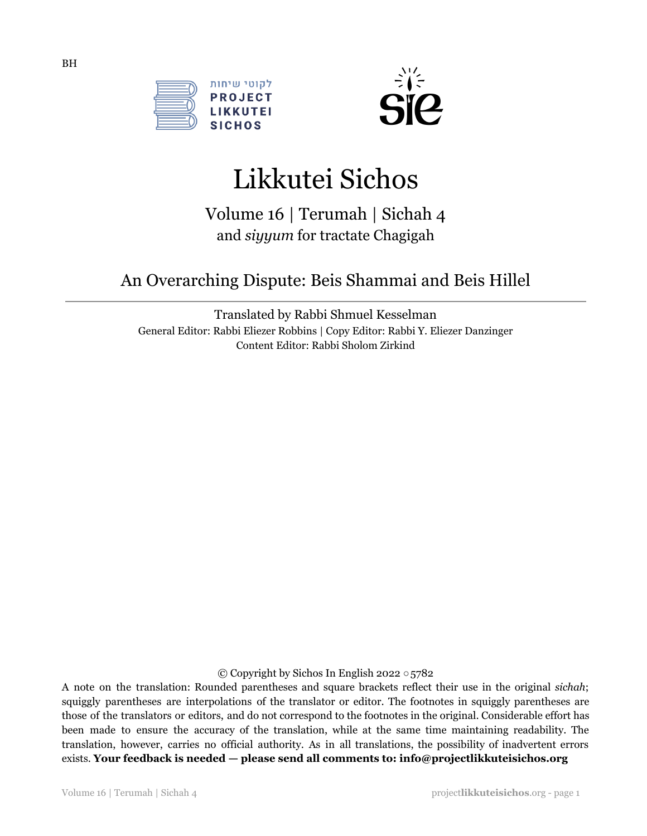



# Likkutei Sichos

Volume 16 | Terumah | Sichah 4 and *siyyum* for tractate Chagigah

# An Overarching Dispute: Beis Shammai and Beis Hillel

Translated by Rabbi Shmuel Kesselman General Editor: Rabbi Eliezer Robbins | Copy Editor: Rabbi Y. Eliezer Danzinger Content Editor: Rabbi Sholom Zirkind

© Copyright by Sichos In English 2022 ○5782

A note on the translation: Rounded parentheses and square brackets reflect their use in the original *sichah*; squiggly parentheses are interpolations of the translator or editor. The footnotes in squiggly parentheses are those of the translators or editors, and do not correspond to the footnotes in the original. Considerable effort has been made to ensure the accuracy of the translation, while at the same time maintaining readability. The translation, however, carries no official authority. As in all translations, the possibility of inadvertent errors exists. **Your feedback is needed — please send all comments to: info@projectlikkuteisichos.org**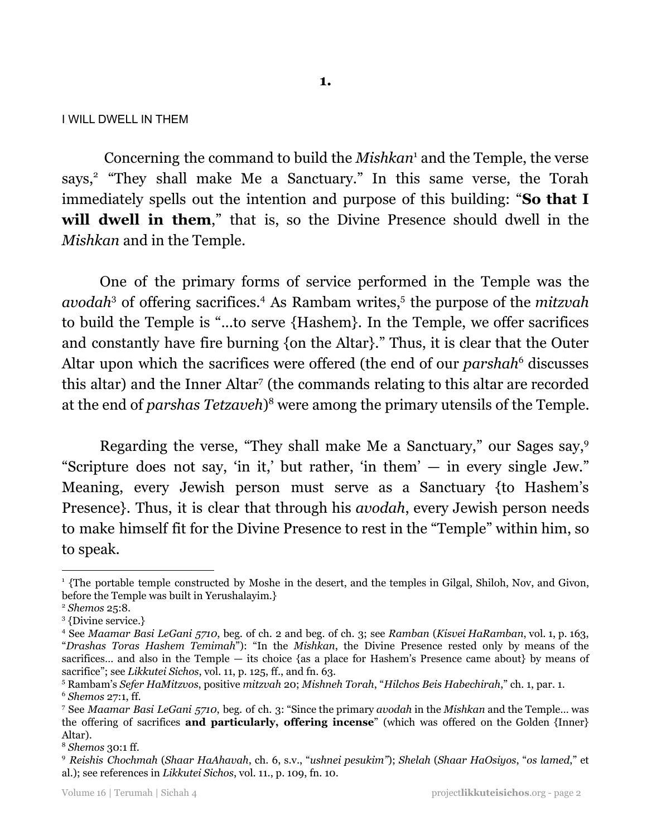I WILL DWELL IN THEM

Concerning the command to build the *Mishkan*<sup>1</sup> and the Temple, the verse says,<sup>2</sup> "They shall make Me a Sanctuary." In this same verse, the Torah immediately spells out the intention and purpose of this building: "**So that I will dwell in them**," that is, so the Divine Presence should dwell in the *Mishkan* and in the Temple.

One of the primary forms of service performed in the Temple was the avodah<sup>3</sup> of offering sacrifices.<sup>4</sup> As Rambam writes,<sup>5</sup> the purpose of the *mitzvah* to build the Temple is "...to serve {Hashem}. In the Temple, we offer sacrifices and constantly have fire burning {on the Altar}." Thus, it is clear that the Outer Altar upon which the sacrifices were offered (the end of our *parshah*<sup>6</sup> discusses this altar) and the Inner Altar<sup>7</sup> (the commands relating to this altar are recorded at the end of *parshas Tetzaveh*)<sup>8</sup> were among the primary utensils of the Temple.

Regarding the verse, "They shall make Me a Sanctuary," our Sages say, 9 "Scripture does not say, 'in it,' but rather, 'in them' — in every single Jew." Meaning, every Jewish person must serve as a Sanctuary {to Hashem's Presence}. Thus, it is clear that through his *avodah*, every Jewish person needs to make himself fit for the Divine Presence to rest in the "Temple" within him, so to speak.

<sup>1</sup> {The portable temple constructed by Moshe in the desert, and the temples in Gilgal, Shiloh, Nov, and Givon, before the Temple was built in Yerushalayim.}

<sup>2</sup> *Shemos* 25:8.

<sup>3</sup> {Divine service.}

<sup>4</sup> See *Maamar Basi LeGani 5710*, beg. of ch. 2 and beg. of ch. 3; see *Ramban* (*Kisvei HaRamban*, vol. 1, p. 163, "*Drashas Toras Hashem Temimah*"): "In the *Mishkan*, the Divine Presence rested only by means of the sacrifices... and also in the Temple — its choice {as a place for Hashem's Presence came about} by means of sacrifice"; see *Likkutei Sichos*, vol. 11, p. 125, ff., and fn. 63.

<sup>6</sup> *Shemos* 27:1, ff. <sup>5</sup> Rambam's *Sefer HaMitzvos*, positive *mitzvah* 20; *Mishneh Torah*, "*Hilchos Beis Habechirah*," ch. 1, par. 1.

<sup>7</sup> See *Maamar Basi LeGani 5710*, beg. of ch. 3: "Since the primary *avodah* in the *Mishkan* and the Temple… was the offering of sacrifices **and particularly, offering incense**" (which was offered on the Golden {Inner} Altar).

<sup>8</sup> *Shemos* 30:1 ff.

<sup>9</sup> *Reishis Chochmah* (*Shaar HaAhavah*, ch. 6, s.v., "*ushnei pesukim"*); *Shelah* (*Shaar HaOsiyos*, "*os lamed*," et al.); see references in *Likkutei Sichos*, vol. 11., p. 109, fn. 10.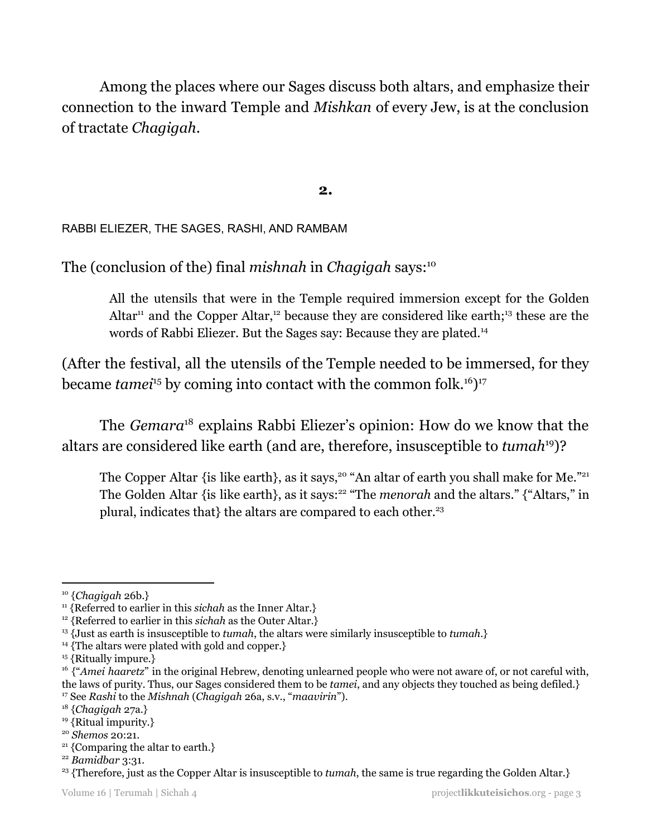Among the places where our Sages discuss both altars, and emphasize their connection to the inward Temple and *Mishkan* of every Jew, is at the conclusion of tractate *Chagigah*.

**2.**

RABBI ELIEZER, THE SAGES, RASHI, AND RAMBAM

The (conclusion of the) final *mishnah* in *Chagigah* says: 10

All the utensils that were in the Temple required immersion except for the Golden Altar<sup>11</sup> and the Copper Altar,<sup>12</sup> because they are considered like earth;<sup>13</sup> these are the words of Rabbi Eliezer. But the Sages say: Because they are plated.<sup>14</sup>

(After the festival, all the utensils of the Temple needed to be immersed, for they became *tamei*<sup>15</sup> by coming into contact with the common folk.<sup>16</sup>)<sup>17</sup>

The *Gemara*<sup>18</sup> explains Rabbi Eliezer's opinion: How do we know that the altars are considered like earth (and are, therefore, insusceptible to *tumah<sup>19</sup>*)?

The Copper Altar {is like earth}, as it says,<sup>20</sup> "An altar of earth you shall make for Me."<sup>21</sup> The Golden Altar {is like earth}, as it says:<sup>22</sup> "The *menorah* and the altars." {"Altars," in plural, indicates that} the altars are compared to each other. $23$ 

<sup>10</sup> {*Chagigah* 26b.}

<sup>&</sup>lt;sup>11</sup> {Referred to earlier in this *sichah* as the Inner Altar.}

<sup>&</sup>lt;sup>12</sup> {Referred to earlier in this *sichah* as the Outer Altar.}

<sup>13</sup> {Just as earth is insusceptible to *tumah*, the altars were similarly insusceptible to *tumah*.}

<sup>&</sup>lt;sup>14</sup> {The altars were plated with gold and copper.}

<sup>&</sup>lt;sup>15</sup> {Ritually impure.}

<sup>17</sup> See *Rashi* to the *Mishnah* (*Chagigah* 26a, s.v., "*maavirin*"). <sup>16</sup> {"Amei haaretz" in the original Hebrew, denoting unlearned people who were not aware of, or not careful with, the laws of purity. Thus, our Sages considered them to be *tamei*, and any objects they touched as being defiled.}

<sup>18</sup> {*Chagigah* 27a.}

<sup>&</sup>lt;sup>19</sup> {Ritual impurity.}

<sup>20</sup> *Shemos* 20:21.

 $21$  {Comparing the altar to earth.}

<sup>22</sup> *Bamidbar* 3:31.

<sup>23</sup> {Therefore, just as the Copper Altar is insusceptible to *tumah*, the same is true regarding the Golden Altar.}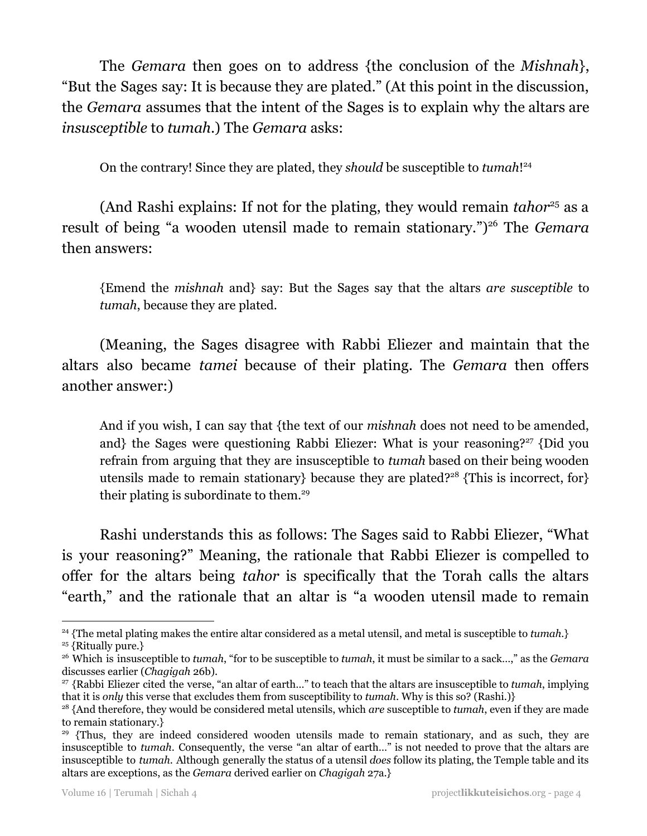The *Gemara* then goes on to address {the conclusion of the *Mishnah*}, "But the Sages say: It is because they are plated." (At this point in the discussion, the *Gemara* assumes that the intent of the Sages is to explain why the altars are *insusceptible* to *tumah*.) The *Gemara* asks:

On the contrary! Since they are plated, they *should* be susceptible to *tumah*! 24

(And Rashi explains: If not for the plating, they would remain *tahor<sup>25</sup>* as a result of being "a wooden utensil made to remain stationary.")<sup>26</sup> The *Gemara* then answers:

{Emend the *mishnah* and} say: But the Sages say that the altars *are susceptible* to *tumah*, because they are plated.

(Meaning, the Sages disagree with Rabbi Eliezer and maintain that the altars also became *tamei* because of their plating. The *Gemara* then offers another answer:)

And if you wish, I can say that {the text of our *mishnah* does not need to be amended, and} the Sages were questioning Rabbi Eliezer: What is your reasoning?<sup>27</sup> {Did you refrain from arguing that they are insusceptible to *tumah* based on their being wooden utensils made to remain stationary} because they are plated?<sup>28</sup> {This is incorrect, for} their plating is subordinate to them.<sup>29</sup>

Rashi understands this as follows: The Sages said to Rabbi Eliezer, "What is your reasoning?" Meaning, the rationale that Rabbi Eliezer is compelled to offer for the altars being *tahor* is specifically that the Torah calls the altars "earth," and the rationale that an altar is "a wooden utensil made to remain

<sup>25</sup> {Ritually pure.} <sup>24</sup> {The metal plating makes the entire altar considered as a metal utensil, and metal is susceptible to *tumah*.}

<sup>26</sup> Which is insusceptible to *tumah*, "for to be susceptible to *tumah*, it must be similar to a sack…," as the *Gemara* discusses earlier (*Chagigah* 26b).

<sup>27</sup> {Rabbi Eliezer cited the verse, "an altar of earth…" to teach that the altars are insusceptible to *tumah*, implying that it is *only* this verse that excludes them from susceptibility to *tumah*. Why is this so? (Rashi.)}

<sup>28</sup> {And therefore, they would be considered metal utensils, which *are* susceptible to *tumah*, even if they are made to remain stationary.}

<sup>&</sup>lt;sup>29</sup> {Thus, they are indeed considered wooden utensils made to remain stationary, and as such, they are insusceptible to *tumah*. Consequently, the verse "an altar of earth…" is not needed to prove that the altars are insusceptible to *tumah*. Although generally the status of a utensil *does* follow its plating, the Temple table and its altars are exceptions, as the *Gemara* derived earlier on *Chagigah* 27a.}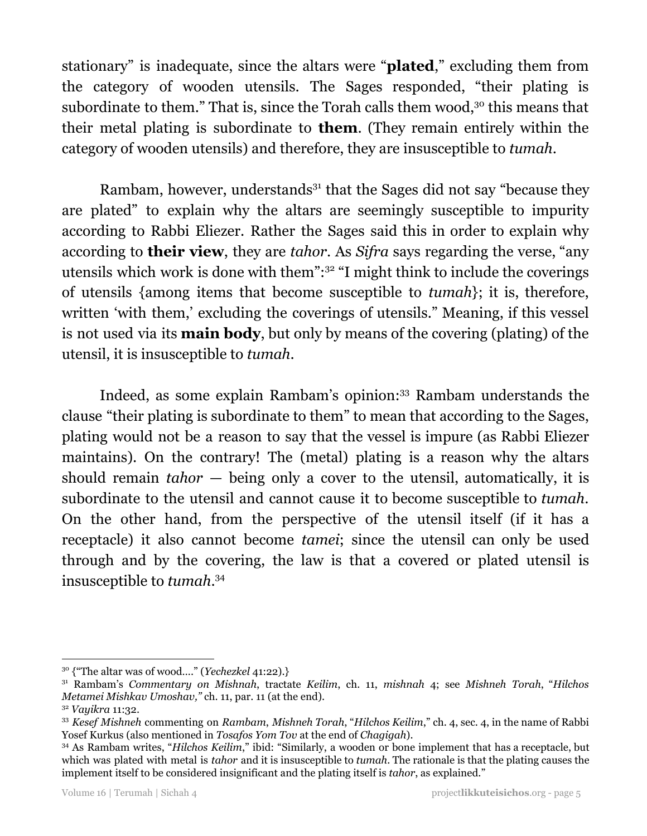stationary" is inadequate, since the altars were "**plated**," excluding them from the category of wooden utensils. The Sages responded, "their plating is subordinate to them." That is, since the Torah calls them wood, $30$  this means that their metal plating is subordinate to **them**. (They remain entirely within the category of wooden utensils) and therefore, they are insusceptible to *tumah*.

Rambam, however, understands<sup>31</sup> that the Sages did not say "because they are plated" to explain why the altars are seemingly susceptible to impurity according to Rabbi Eliezer. Rather the Sages said this in order to explain why according to **their view**, they are *tahor*. As *Sifra* says regarding the verse, "any utensils which work is done with them":<sup>32</sup> "I might think to include the coverings of utensils {among items that become susceptible to *tumah*}; it is, therefore, written 'with them,' excluding the coverings of utensils." Meaning, if this vessel is not used via its **main body**, but only by means of the covering (plating) of the utensil, it is insusceptible to *tumah*.

Indeed, as some explain Rambam's opinion:<sup>33</sup> Rambam understands the clause "their plating is subordinate to them" to mean that according to the Sages, plating would not be a reason to say that the vessel is impure (as Rabbi Eliezer maintains). On the contrary! The (metal) plating is a reason why the altars should remain *tahor* — being only a cover to the utensil, automatically, it is subordinate to the utensil and cannot cause it to become susceptible to *tumah*. On the other hand, from the perspective of the utensil itself (if it has a receptacle) it also cannot become *tamei*; since the utensil can only be used through and by the covering, the law is that a covered or plated utensil is insusceptible to *tumah*. 34

<sup>30</sup> {"The altar was of wood…." (*Yechezkel* 41:22).}

<sup>31</sup> Rambam's *Commentary on Mishnah*, tractate *Keilim*, ch. 11, *mishnah* 4; see *Mishneh Torah*, "*Hilchos Metamei Mishkav Umoshav,"* ch. 11, par. 11 (at the end).

<sup>32</sup> *Vayikra* 11:32.

<sup>33</sup> *Kesef Mishneh* commenting on *Rambam*, *Mishneh Torah*, "*Hilchos Keilim*," ch. 4, sec. 4, in the name of Rabbi Yosef Kurkus (also mentioned in *Tosafos Yom Tov* at the end of *Chagigah*).

<sup>34</sup> As Rambam writes, "*Hilchos Keilim*," ibid: "Similarly, a wooden or bone implement that has a receptacle, but which was plated with metal is *tahor* and it is insusceptible to *tumah*. The rationale is that the plating causes the implement itself to be considered insignificant and the plating itself is *tahor*, as explained."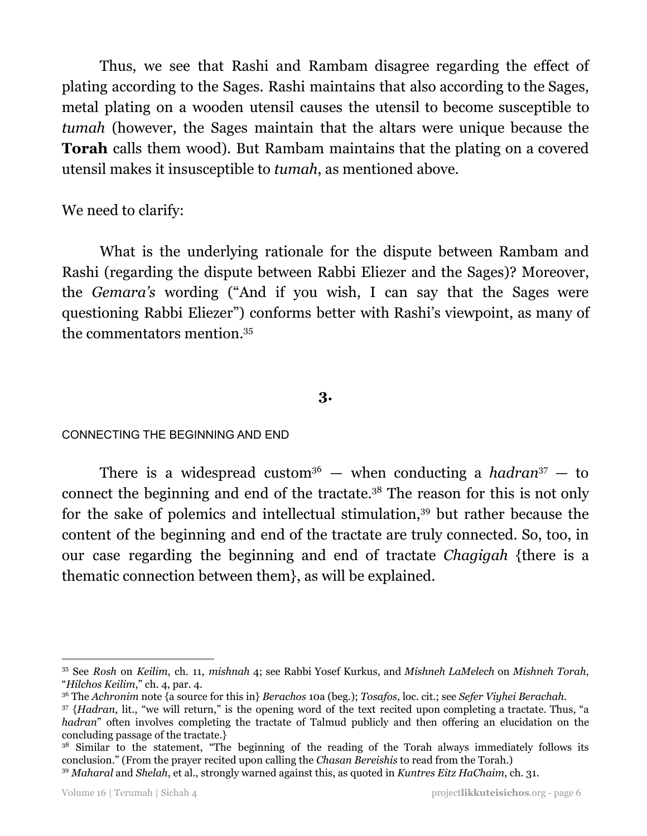Thus, we see that Rashi and Rambam disagree regarding the effect of plating according to the Sages. Rashi maintains that also according to the Sages, metal plating on a wooden utensil causes the utensil to become susceptible to *tumah* (however, the Sages maintain that the altars were unique because the **Torah** calls them wood). But Rambam maintains that the plating on a covered utensil makes it insusceptible to *tumah*, as mentioned above.

## We need to clarify:

What is the underlying rationale for the dispute between Rambam and Rashi (regarding the dispute between Rabbi Eliezer and the Sages)? Moreover, the *Gemara's* wording ("And if you wish, I can say that the Sages were questioning Rabbi Eliezer") conforms better with Rashi's viewpoint, as many of the commentators mention. 35

#### **3.**

CONNECTING THE BEGINNING AND END

There is a widespread custom<sup>36</sup>  $-$  when conducting a *hadran*<sup>37</sup>  $-$  to connect the beginning and end of the tractate. $38$  The reason for this is not only for the sake of polemics and intellectual stimulation,<sup>39</sup> but rather because the content of the beginning and end of the tractate are truly connected. So, too, in our case regarding the beginning and end of tractate *Chagigah* {there is a thematic connection between them}, as will be explained.

<sup>35</sup> See *Rosh* on *Keilim*, ch. 11, *mishnah* 4; see Rabbi Yosef Kurkus, and *Mishneh LaMelech* on *Mishneh Torah*, "*Hilchos Keilim*," ch. 4, par. 4.

<sup>36</sup> The *Achronim* note {a source for this in} *Berachos* 10a (beg.); *Tosafos*, loc. cit.; see *Sefer Viyhei Berachah*.

<sup>37</sup> {*Hadran*, lit., "we will return," is the opening word of the text recited upon completing a tractate. Thus, "a *hadran*" often involves completing the tractate of Talmud publicly and then offering an elucidation on the concluding passage of the tractate.}

<sup>&</sup>lt;sup>38</sup> Similar to the statement, "The beginning of the reading of the Torah always immediately follows its conclusion." (From the prayer recited upon calling the *Chasan Bereishis* to read from the Torah.)

<sup>39</sup> *Maharal* and *Shelah*, et al., strongly warned against this, as quoted in *Kuntres Eitz HaChaim*, ch. 31.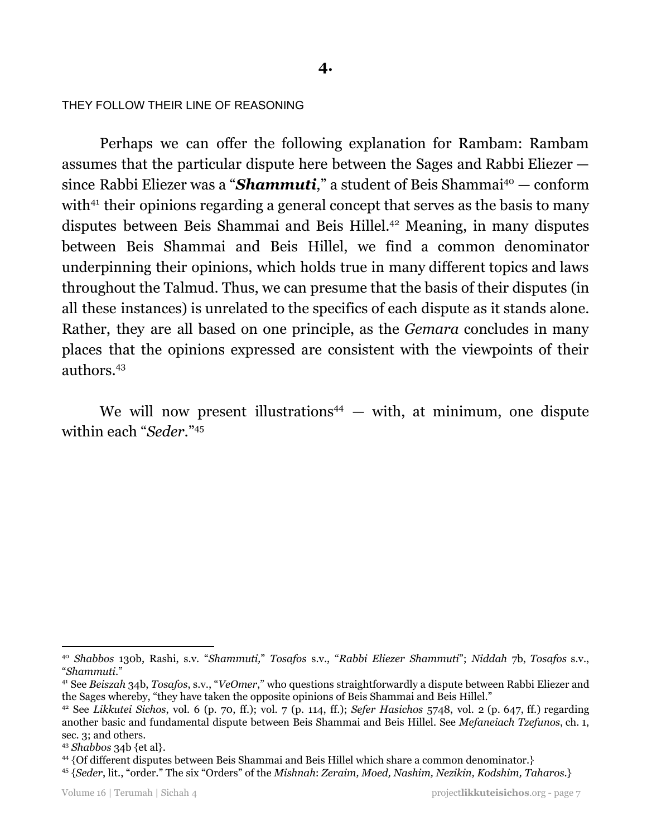#### THEY FOLLOW THEIR LINE OF REASONING

Perhaps we can offer the following explanation for Rambam: Rambam assumes that the particular dispute here between the Sages and Rabbi Eliezer since Rabbi Eliezer was a "*Shammuti*," a student of Beis Shammai <sup>40</sup> — conform with $41$  their opinions regarding a general concept that serves as the basis to many disputes between Beis Shammai and Beis Hillel.<sup>42</sup> Meaning, in many disputes between Beis Shammai and Beis Hillel, we find a common denominator underpinning their opinions, which holds true in many different topics and laws throughout the Talmud. Thus, we can presume that the basis of their disputes (in all these instances) is unrelated to the specifics of each dispute as it stands alone. Rather, they are all based on one principle, as the *Gemara* concludes in many places that the opinions expressed are consistent with the viewpoints of their authors. 43

We will now present illustrations<sup>44</sup>  $-$  with, at minimum, one dispute within each "*Seder*." 45

<sup>40</sup> *Shabbos* 130b, Rashi, s.v. "*Shammuti,*" *Tosafos* s.v., "*Rabbi Eliezer Shammuti*"; *Niddah* 7b, *Tosafos* s.v., "*Shammuti*."

<sup>41</sup> See *Beiszah* 34b, *Tosafos*, s.v., "*VeOmer*," who questions straightforwardly a dispute between Rabbi Eliezer and the Sages whereby, "they have taken the opposite opinions of Beis Shammai and Beis Hillel."

<sup>42</sup> See *Likkutei Sichos*, vol. 6 (p. 70, ff.); vol. 7 (p. 114, ff.); *Sefer Hasichos* 5748, vol. 2 (p. 647, ff.) regarding another basic and fundamental dispute between Beis Shammai and Beis Hillel. See *Mefaneiach Tzefunos*, ch. 1, sec. 3; and others.

<sup>43</sup> *Shabbos* 34b {et al}.

<sup>44</sup> {Of different disputes between Beis Shammai and Beis Hillel which share a common denominator.}

<sup>45</sup> {*Seder*, lit., "order." The six "Orders" of the *Mishnah*: *Zeraim, Moed, Nashim, Nezikin, Kodshim, Taharos*.}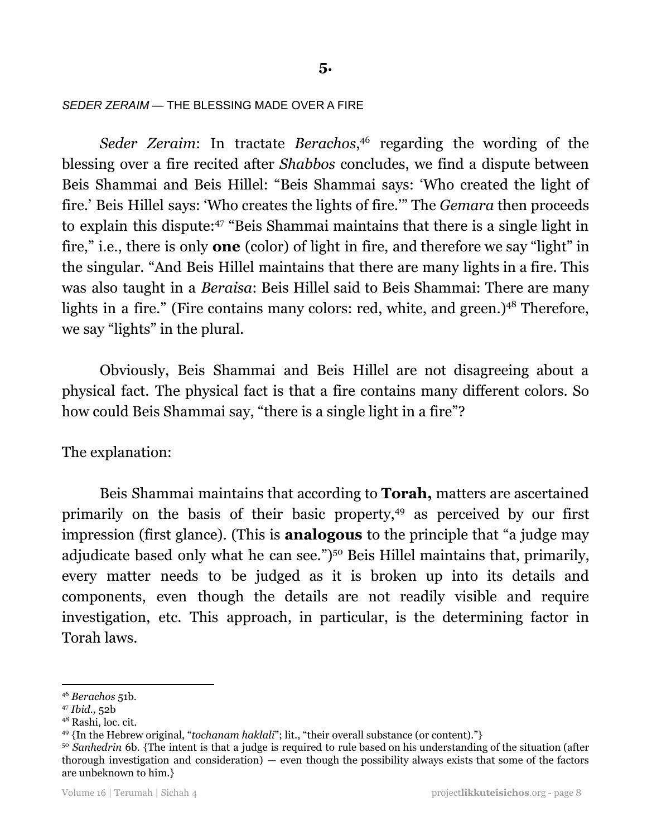*SEDER ZERAIM —* THE BLESSING MADE OVER A FIRE

Seder Zeraim: In tractate Berachos,<sup>46</sup> regarding the wording of the blessing over a fire recited after *Shabbos* concludes, we find a dispute between Beis Shammai and Beis Hillel: "Beis Shammai says: 'Who created the light of fire.' Beis Hillel says: 'Who creates the lights of fire.'" The *Gemara* then proceeds to explain this dispute:<sup>47</sup> "Beis Shammai maintains that there is a single light in fire," i.e., there is only **one** (color) of light in fire, and therefore we say "light" in the singular. "And Beis Hillel maintains that there are many lights in a fire. This was also taught in a *Beraisa*: Beis Hillel said to Beis Shammai: There are many lights in a fire." (Fire contains many colors: red, white, and green.)<sup>48</sup> Therefore, we say "lights" in the plural.

Obviously, Beis Shammai and Beis Hillel are not disagreeing about a physical fact. The physical fact is that a fire contains many different colors. So how could Beis Shammai say, "there is a single light in a fire"?

The explanation:

Beis Shammai maintains that according to **Torah,** matters are ascertained primarily on the basis of their basic property,<sup>49</sup> as perceived by our first impression (first glance). (This is **analogous** to the principle that "a judge may adjudicate based only what he can see.")<sup>50</sup> Beis Hillel maintains that, primarily, every matter needs to be judged as it is broken up into its details and components, even though the details are not readily visible and require investigation, etc. This approach, in particular, is the determining factor in Torah laws.

<sup>46</sup> *Berachos* 51b.

<sup>47</sup> *Ibid.,* 52b

<sup>48</sup> Rashi, loc. cit.

<sup>49</sup> {In the Hebrew original, "*tochanam haklali*"; lit., "their overall substance (or content)."}

<sup>&</sup>lt;sup>50</sup> Sanhedrin 6b. {The intent is that a judge is required to rule based on his understanding of the situation (after thorough investigation and consideration) — even though the possibility always exists that some of the factors are unbeknown to him.}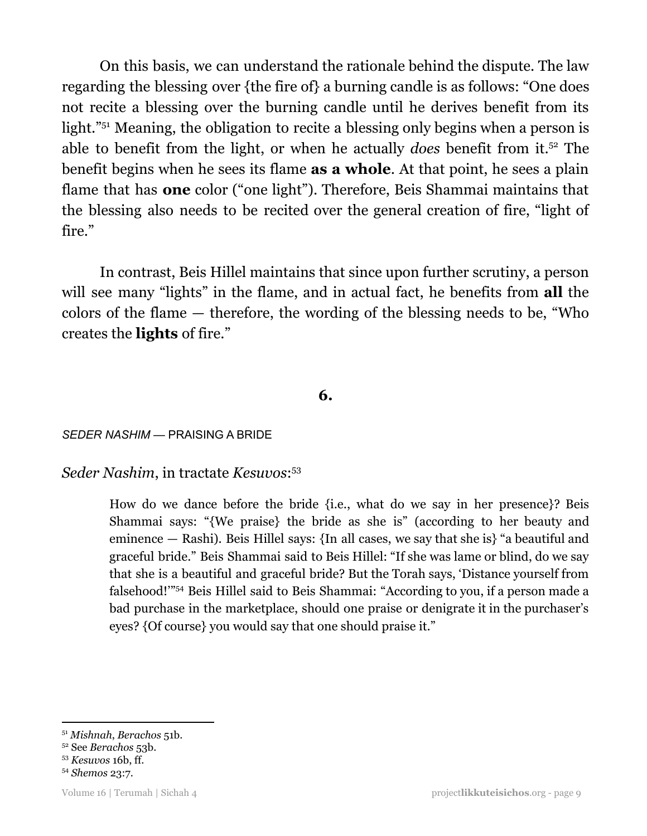On this basis, we can understand the rationale behind the dispute. The law regarding the blessing over {the fire of} a burning candle is as follows: "One does not recite a blessing over the burning candle until he derives benefit from its light."<sup>51</sup> Meaning, the obligation to recite a blessing only begins when a person is able to benefit from the light, or when he actually *does* benefit from it.<sup>52</sup> The benefit begins when he sees its flame **as a whole**. At that point, he sees a plain flame that has **one** color ("one light"). Therefore, Beis Shammai maintains that the blessing also needs to be recited over the general creation of fire, "light of fire."

In contrast, Beis Hillel maintains that since upon further scrutiny, a person will see many "lights" in the flame, and in actual fact, he benefits from **all** the colors of the flame — therefore, the wording of the blessing needs to be, "Who creates the **lights** of fire."

#### **6.**

*SEDER NASHIM —* PRAISING A BRIDE

*Seder Nashim*, in tractate *Kesuvos*: 53

How do we dance before the bride {i.e., what do we say in her presence}? Beis Shammai says: "{We praise} the bride as she is" (according to her beauty and eminence — Rashi). Beis Hillel says: {In all cases, we say that she is} "a beautiful and graceful bride." Beis Shammai said to Beis Hillel: "If she was lame or blind, do we say that she is a beautiful and graceful bride? But the Torah says, 'Distance yourself from falsehood!"<sup>54</sup> Beis Hillel said to Beis Shammai: "According to you, if a person made a bad purchase in the marketplace, should one praise or denigrate it in the purchaser's eyes? {Of course} you would say that one should praise it."

<sup>51</sup> *Mishnah*, *Berachos* 51b.

<sup>52</sup> See *Berachos* 53b.

<sup>53</sup> *Kesuvos* 16b, ff.

<sup>54</sup> *Shemos* 23:7.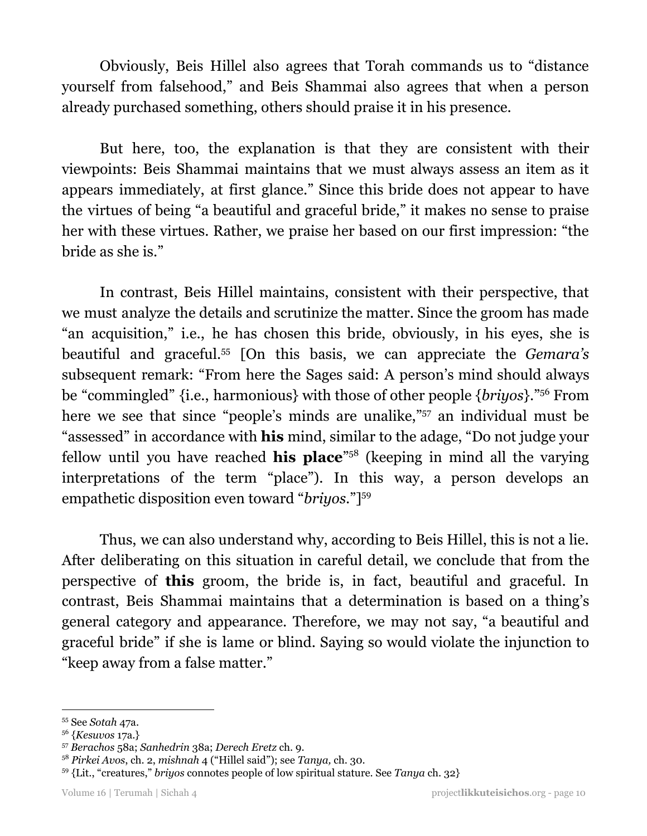Obviously, Beis Hillel also agrees that Torah commands us to "distance yourself from falsehood," and Beis Shammai also agrees that when a person already purchased something, others should praise it in his presence.

But here, too, the explanation is that they are consistent with their viewpoints: Beis Shammai maintains that we must always assess an item as it appears immediately, at first glance." Since this bride does not appear to have the virtues of being "a beautiful and graceful bride," it makes no sense to praise her with these virtues. Rather, we praise her based on our first impression: "the bride as she is."

In contrast, Beis Hillel maintains, consistent with their perspective, that we must analyze the details and scrutinize the matter. Since the groom has made "an acquisition," i.e., he has chosen this bride, obviously, in his eyes, she is beautiful and graceful.<sup>55</sup> [On this basis, we can appreciate the *Gemara's* subsequent remark: "From here the Sages said: A person's mind should always be "commingled" {i.e., harmonious} with those of other people {*briyos*}."<sup>56</sup> From here we see that since "people's minds are unalike,"<sup>57</sup> an individual must be "assessed" in accordance with **his** mind, similar to the adage, "Do not judge your fellow until you have reached **his place**<sup>"58</sup> (keeping in mind all the varying interpretations of the term "place"). In this way, a person develops an empathetic disposition even toward "*briyos*."] 59

Thus, we can also understand why, according to Beis Hillel, this is not a lie. After deliberating on this situation in careful detail, we conclude that from the perspective of **this** groom, the bride is, in fact, beautiful and graceful. In contrast, Beis Shammai maintains that a determination is based on a thing's general category and appearance. Therefore, we may not say, "a beautiful and graceful bride" if she is lame or blind. Saying so would violate the injunction to "keep away from a false matter."

<sup>55</sup> See *Sotah* 47a.

<sup>56</sup> {*Kesuvos* 17a.}

<sup>57</sup> *Berachos* 58a; *Sanhedrin* 38a; *Derech Eretz* ch. 9.

<sup>58</sup> *Pirkei Avos*, ch. 2, *mishnah* 4 ("Hillel said"); see *Tanya,* ch. 30.

<sup>59</sup> {Lit., "creatures," *briyos* connotes people of low spiritual stature. See *Tanya* ch. 32}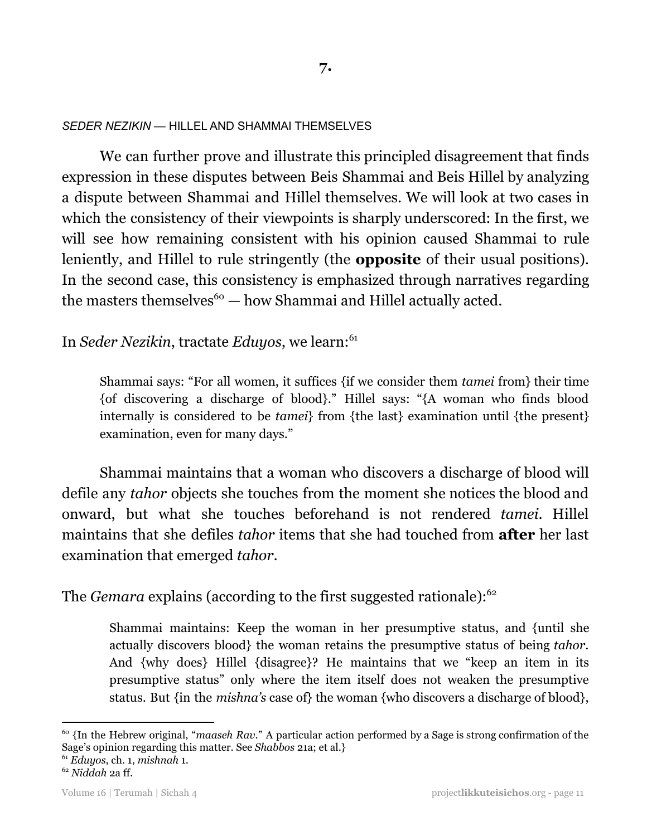*SEDER NEZIKIN* — HILLEL AND SHAMMAI THEMSELVES

We can further prove and illustrate this principled disagreement that finds expression in these disputes between Beis Shammai and Beis Hillel by analyzing a dispute between Shammai and Hillel themselves. We will look at two cases in which the consistency of their viewpoints is sharply underscored: In the first, we will see how remaining consistent with his opinion caused Shammai to rule leniently, and Hillel to rule stringently (the **opposite** of their usual positions). In the second case, this consistency is emphasized through narratives regarding the masters themselves $60 -$  how Shammai and Hillel actually acted.

In *Seder Nezikin*, tractate *Eduyos*, we learn: 61

Shammai says: "For all women, it suffices {if we consider them *tamei* from} their time {of discovering a discharge of blood}." Hillel says: "{A woman who finds blood internally is considered to be *tamei*} from {the last} examination until {the present} examination, even for many days."

Shammai maintains that a woman who discovers a discharge of blood will defile any *tahor* objects she touches from the moment she notices the blood and onward, but what she touches beforehand is not rendered *tamei*. Hillel maintains that she defiles *tahor* items that she had touched from **after** her last examination that emerged *tahor*.

The *Gemara* explains (according to the first suggested rationale):<sup>62</sup>

Shammai maintains: Keep the woman in her presumptive status, and {until she actually discovers blood} the woman retains the presumptive status of being *tahor*. And {why does} Hillel {disagree}? He maintains that we "keep an item in its presumptive status" only where the item itself does not weaken the presumptive status. But {in the *mishna's* case of} the woman {who discovers a discharge of blood},

<sup>60</sup> {In the Hebrew original, "*maaseh Rav*." A particular action performed by a Sage is strong confirmation of the Sage's opinion regarding this matter. See *Shabbos* 21a; et al.}

<sup>61</sup> *Eduyos*, ch. 1, *mishnah* 1.

<sup>62</sup> *Niddah* 2a ff.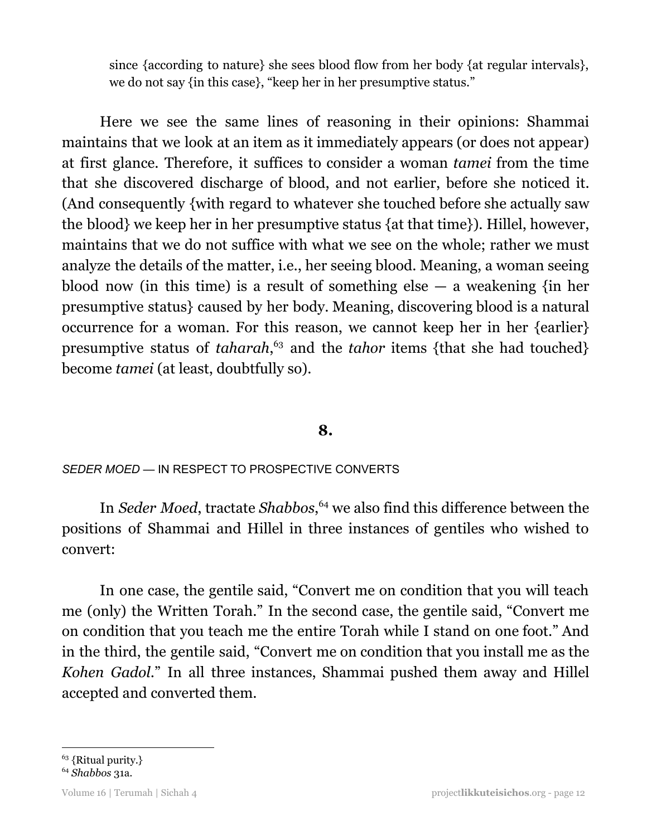since {according to nature} she sees blood flow from her body {at regular intervals}, we do not say {in this case}, "keep her in her presumptive status."

Here we see the same lines of reasoning in their opinions: Shammai maintains that we look at an item as it immediately appears (or does not appear) at first glance. Therefore, it suffices to consider a woman *tamei* from the time that she discovered discharge of blood, and not earlier, before she noticed it. (And consequently {with regard to whatever she touched before she actually saw the blood} we keep her in her presumptive status {at that time}). Hillel, however, maintains that we do not suffice with what we see on the whole; rather we must analyze the details of the matter, i.e., her seeing blood. Meaning, a woman seeing blood now (in this time) is a result of something else  $-$  a weakening {in her presumptive status} caused by her body. Meaning, discovering blood is a natural occurrence for a woman. For this reason, we cannot keep her in her {earlier} presumptive status of *taharah*,<sup>63</sup> and the *tahor* items {that she had touched} become *tamei* (at least, doubtfully so).

#### **8.**

#### *SEDER MOED —* IN RESPECT TO PROSPECTIVE CONVERTS

In *Seder Moed*, tractate *Shabbos*,<sup>64</sup> we also find this difference between the positions of Shammai and Hillel in three instances of gentiles who wished to convert:

In one case, the gentile said, "Convert me on condition that you will teach me (only) the Written Torah." In the second case, the gentile said, "Convert me on condition that you teach me the entire Torah while I stand on one foot." And in the third, the gentile said, "Convert me on condition that you install me as the *Kohen Gadol*." In all three instances, Shammai pushed them away and Hillel accepted and converted them.

<sup>63</sup> {Ritual purity.}

<sup>64</sup> *Shabbos* 31a.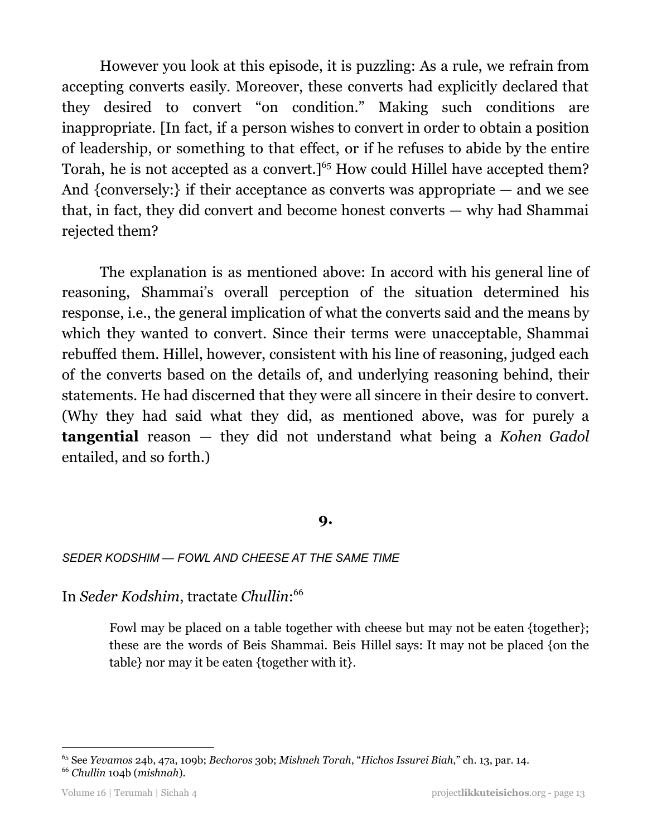However you look at this episode, it is puzzling: As a rule, we refrain from accepting converts easily. Moreover, these converts had explicitly declared that they desired to convert "on condition." Making such conditions are inappropriate. [In fact, if a person wishes to convert in order to obtain a position of leadership, or something to that effect, or if he refuses to abide by the entire Torah, he is not accepted as a convert.]<sup>65</sup> How could Hillel have accepted them? And {conversely:} if their acceptance as converts was appropriate — and we see that, in fact, they did convert and become honest converts — why had Shammai rejected them?

The explanation is as mentioned above: In accord with his general line of reasoning, Shammai's overall perception of the situation determined his response, i.e., the general implication of what the converts said and the means by which they wanted to convert. Since their terms were unacceptable, Shammai rebuffed them. Hillel, however, consistent with his line of reasoning, judged each of the converts based on the details of, and underlying reasoning behind, their statements. He had discerned that they were all sincere in their desire to convert. (Why they had said what they did, as mentioned above, was for purely a **tangential** reason — they did not understand what being a *Kohen Gadol* entailed, and so forth.)

#### **9.**

#### *SEDER KODSHIM — FOWL AND CHEESE AT THE SAME TIME*

In *Seder Kodshim*, tractate *Chullin*: 66

Fowl may be placed on a table together with cheese but may not be eaten {together}; these are the words of Beis Shammai. Beis Hillel says: It may not be placed {on the table} nor may it be eaten {together with it}.

<sup>66</sup> *Chullin* 104b (*mishnah*). <sup>65</sup> See *Yevamos* 24b, 47a, 109b; *Bechoros* 30b; *Mishneh Torah*, "*Hichos Issurei Biah*," ch. 13, par. 14.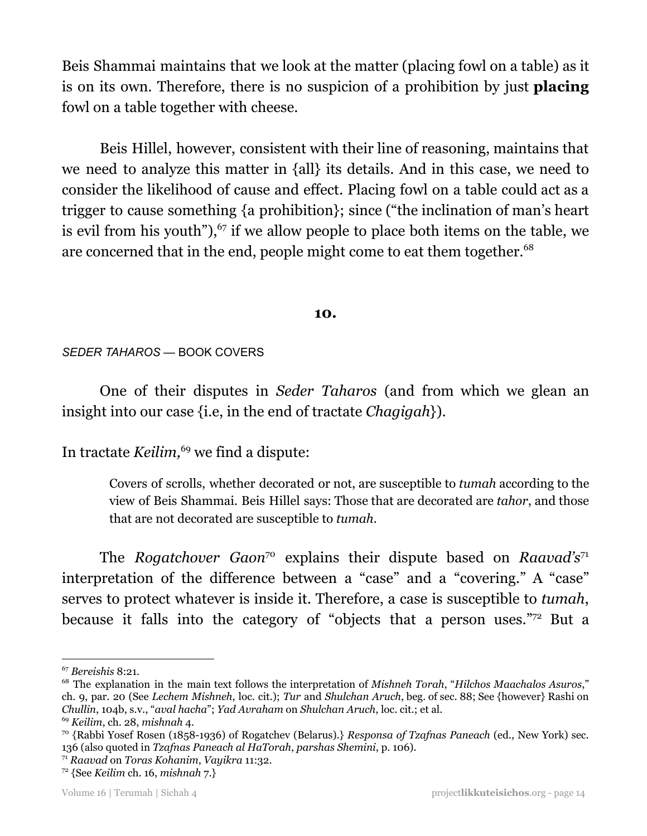Beis Shammai maintains that we look at the matter (placing fowl on a table) as it is on its own. Therefore, there is no suspicion of a prohibition by just **placing** fowl on a table together with cheese.

Beis Hillel, however, consistent with their line of reasoning, maintains that we need to analyze this matter in {all} its details. And in this case, we need to consider the likelihood of cause and effect. Placing fowl on a table could act as a trigger to cause something {a prohibition}; since ("the inclination of man's heart is evil from his youth"), $67$  if we allow people to place both items on the table, we are concerned that in the end, people might come to eat them together. 68

#### **10.**

#### *SEDER TAHAROS —* BOOK COVERS

One of their disputes in *Seder Taharos* (and from which we glean an insight into our case {i.e, in the end of tractate *Chagigah*}).

In tractate Keilim,<sup>69</sup> we find a dispute:

Covers of scrolls, whether decorated or not, are susceptible to *tumah* according to the view of Beis Shammai. Beis Hillel says: Those that are decorated are *tahor*, and those that are not decorated are susceptible to *tumah*.

The *Rogatchover* Gaon<sup>70</sup> explains their dispute based on *Raavad's*<sup>71</sup> interpretation of the difference between a "case" and a "covering." A "case" serves to protect whatever is inside it. Therefore, a case is susceptible to *tumah*, because it falls into the category of "objects that a person uses." $72$  But a

<sup>67</sup> *Bereishis* 8:21.

<sup>68</sup> The explanation in the main text follows the interpretation of *Mishneh Torah*, "*Hilchos Maachalos Asuros*," ch. 9, par. 20 (See *Lechem Mishneh*, loc. cit.); *Tur* and *Shulchan Aruch*, beg. of sec. 88; See {however} Rashi on *Chullin*, 104b, s.v., "*aval hacha*"; *Yad Avraham* on *Shulchan Aruch*, loc. cit.; et al.

<sup>69</sup> *Keilim*, ch. 28, *mishnah* 4.

<sup>70</sup> {Rabbi Yosef Rosen (1858-1936) of Rogatchev (Belarus).} *Responsa of Tzafnas Paneach* (ed., New York) sec. 136 (also quoted in *Tzafnas Paneach al HaTorah*, *parshas Shemini*, p. 106).

<sup>71</sup> *Raavad* on *Toras Kohanim*, *Vayikra* 11:32.

<sup>72</sup> {See *Keilim* ch. 16, *mishnah* 7.}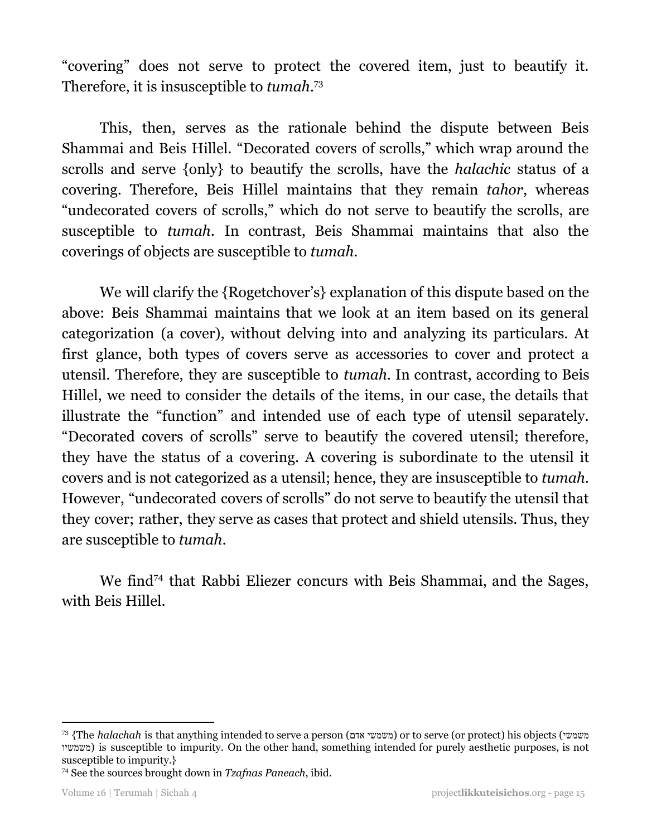"covering" does not serve to protect the covered item, just to beautify it. Therefore, it is insusceptible to *tumah*. 73

This, then, serves as the rationale behind the dispute between Beis Shammai and Beis Hillel. "Decorated covers of scrolls," which wrap around the scrolls and serve {only} to beautify the scrolls, have the *halachic* status of a covering. Therefore, Beis Hillel maintains that they remain *tahor*, whereas "undecorated covers of scrolls," which do not serve to beautify the scrolls, are susceptible to *tumah*. In contrast, Beis Shammai maintains that also the coverings of objects are susceptible to *tumah*.

We will clarify the {Rogetchover's} explanation of this dispute based on the above: Beis Shammai maintains that we look at an item based on its general categorization (a cover), without delving into and analyzing its particulars. At first glance, both types of covers serve as accessories to cover and protect a utensil. Therefore, they are susceptible to *tumah*. In contrast, according to Beis Hillel, we need to consider the details of the items, in our case, the details that illustrate the "function" and intended use of each type of utensil separately. "Decorated covers of scrolls" serve to beautify the covered utensil; therefore, they have the status of a covering. A covering is subordinate to the utensil it covers and is not categorized as a utensil; hence, they are insusceptible to *tumah*. However, "undecorated covers of scrolls" do not serve to beautify the utensil that they cover; rather, they serve as cases that protect and shield utensils. Thus, they are susceptible to *tumah*.

We find<sup>74</sup> that Rabbi Eliezer concurs with Beis Shammai, and the Sages, with Beis Hillel.

<sup>73</sup> {The *halachah* is that anything intended to serve a person (אדם משמשי (or to serve (or protect) his objects (משמשי משמשיו (is susceptible to impurity. On the other hand, something intended for purely aesthetic purposes, is not susceptible to impurity.}

<sup>74</sup> See the sources brought down in *Tzafnas Paneach*, ibid.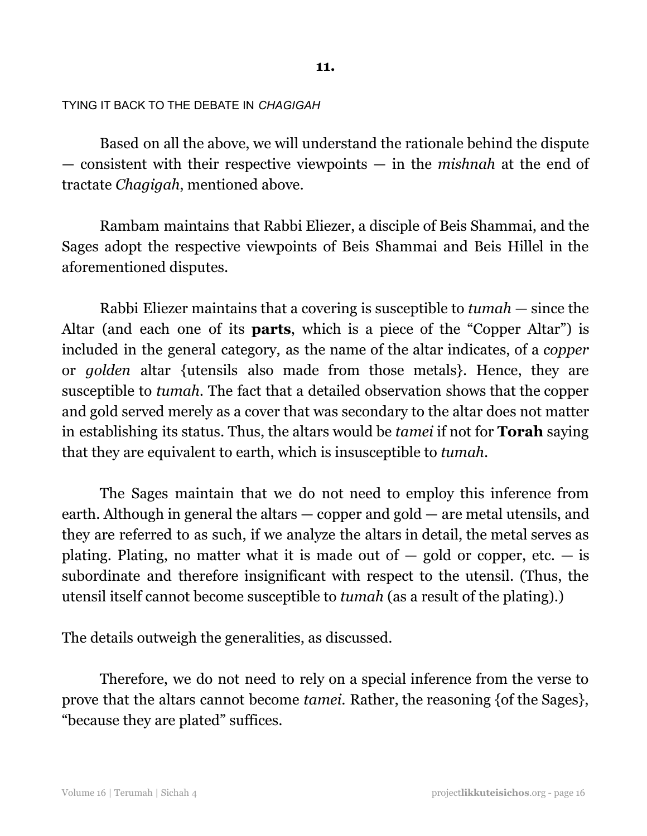#### **11.**

#### TYING IT BACK TO THE DEBATE IN *CHAGIGAH*

Based on all the above, we will understand the rationale behind the dispute — consistent with their respective viewpoints — in the *mishnah* at the end of tractate *Chagigah*, mentioned above.

Rambam maintains that Rabbi Eliezer, a disciple of Beis Shammai, and the Sages adopt the respective viewpoints of Beis Shammai and Beis Hillel in the aforementioned disputes.

Rabbi Eliezer maintains that a covering is susceptible to *tumah* — since the Altar (and each one of its **parts**, which is a piece of the "Copper Altar") is included in the general category, as the name of the altar indicates, of a *copper* or *golden* altar {utensils also made from those metals}. Hence, they are susceptible to *tumah*. The fact that a detailed observation shows that the copper and gold served merely as a cover that was secondary to the altar does not matter in establishing its status. Thus, the altars would be *tamei* if not for **Torah** saying that they are equivalent to earth, which is insusceptible to *tumah*.

The Sages maintain that we do not need to employ this inference from earth. Although in general the altars — copper and gold — are metal utensils, and they are referred to as such, if we analyze the altars in detail, the metal serves as plating. Plating, no matter what it is made out of  $-$  gold or copper, etc.  $-$  is subordinate and therefore insignificant with respect to the utensil. (Thus, the utensil itself cannot become susceptible to *tumah* (as a result of the plating).)

The details outweigh the generalities, as discussed.

Therefore, we do not need to rely on a special inference from the verse to prove that the altars cannot become *tamei*. Rather, the reasoning {of the Sages}, "because they are plated" suffices.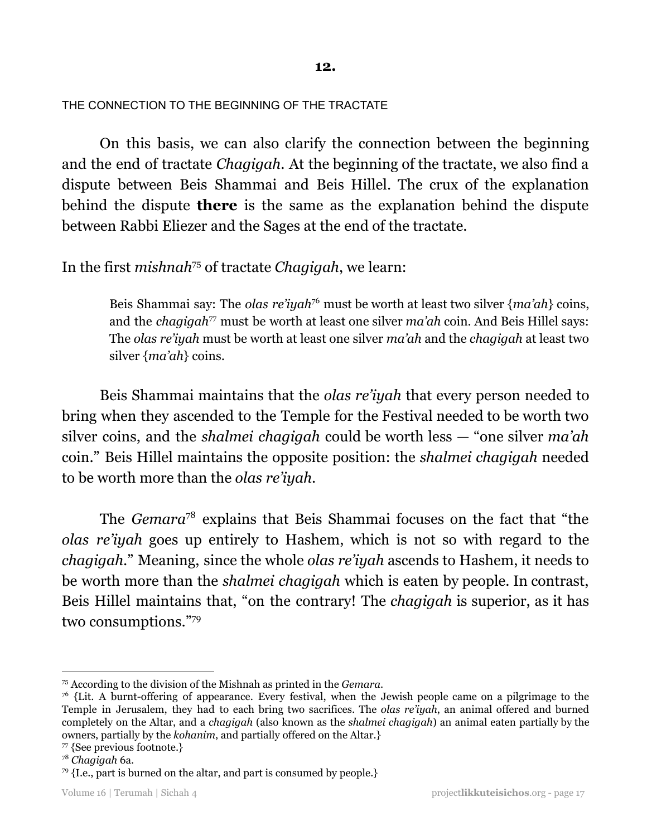**12.**

#### THE CONNECTION TO THE BEGINNING OF THE TRACTATE

On this basis, we can also clarify the connection between the beginning and the end of tractate *Chagigah*. At the beginning of the tractate, we also find a dispute between Beis Shammai and Beis Hillel. The crux of the explanation behind the dispute **there** is the same as the explanation behind the dispute between Rabbi Eliezer and the Sages at the end of the tractate.

#### In the first *mishnah<sup>75</sup>* of tractate *Chagigah*, we learn:

Beis Shammai say: The *olas re'iyah*<sup>76</sup> must be worth at least two silver {*ma'ah*} coins, and the *chagigah<sup>77</sup>* must be worth at least one silver *ma'ah* coin. And Beis Hillel says: The *olas re'iyah* must be worth at least one silver *ma'ah* and the *chagigah* at least two silver {*ma'ah*} coins.

Beis Shammai maintains that the *olas re'iyah* that every person needed to bring when they ascended to the Temple for the Festival needed to be worth two silver coins, and the *shalmei chagigah* could be worth less — "one silver *ma'ah* coin." Beis Hillel maintains the opposite position: the *shalmei chagigah* needed to be worth more than the *olas re'iyah*.

The *Gemara*<sup>78</sup> explains that Beis Shammai focuses on the fact that "the *olas re'iyah* goes up entirely to Hashem, which is not so with regard to the *chagigah*." Meaning, since the whole *olas re'iyah* ascends to Hashem, it needs to be worth more than the *shalmei chagigah* which is eaten by people. In contrast, Beis Hillel maintains that, "on the contrary! The *chagigah* is superior, as it has two consumptions." 79

<sup>75</sup> According to the division of the Mishnah as printed in the *Gemara*.

 $76$  {Lit. A burnt-offering of appearance. Every festival, when the Jewish people came on a pilgrimage to the Temple in Jerusalem, they had to each bring two sacrifices. The *olas re'iyah*, an animal offered and burned completely on the Altar, and a *chagigah* (also known as the *shalmei chagigah*) an animal eaten partially by the owners, partially by the *kohanim*, and partially offered on the Altar.}

<sup>77</sup> {See previous footnote.}

<sup>78</sup> *Chagigah* 6a.

 $79$  {I.e., part is burned on the altar, and part is consumed by people.}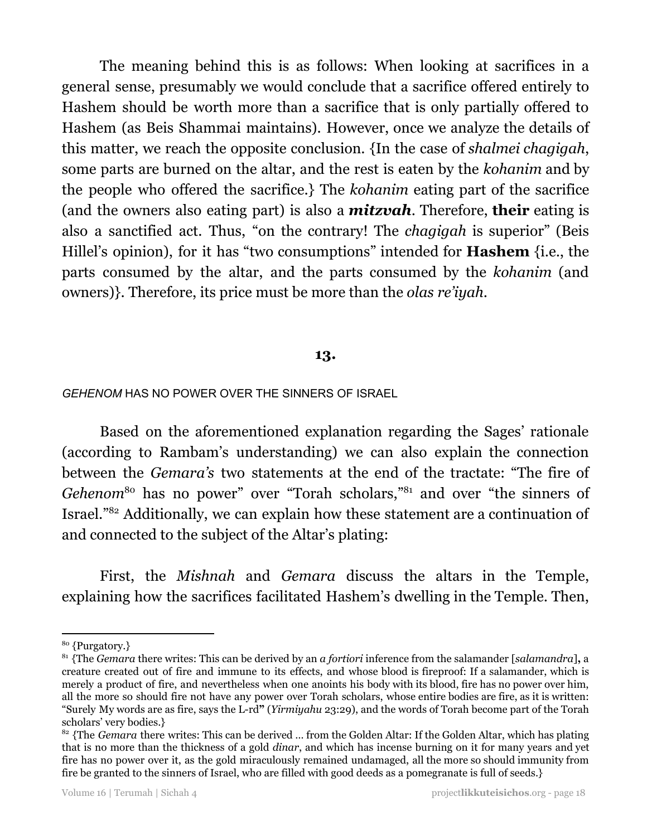The meaning behind this is as follows: When looking at sacrifices in a general sense, presumably we would conclude that a sacrifice offered entirely to Hashem should be worth more than a sacrifice that is only partially offered to Hashem (as Beis Shammai maintains). However, once we analyze the details of this matter, we reach the opposite conclusion. {In the case of *shalmei chagigah*, some parts are burned on the altar, and the rest is eaten by the *kohanim* and by the people who offered the sacrifice.} The *kohanim* eating part of the sacrifice (and the owners also eating part) is also a *mitzvah*. Therefore, **their** eating is also a sanctified act. Thus, "on the contrary! The *chagigah* is superior" (Beis Hillel's opinion), for it has "two consumptions" intended for **Hashem** {i.e., the parts consumed by the altar, and the parts consumed by the *kohanim* (and owners)}. Therefore, its price must be more than the *olas re'iyah*.

#### **13.**

#### *GEHENOM* HAS NO POWER OVER THE SINNERS OF ISRAEL

Based on the aforementioned explanation regarding the Sages' rationale (according to Rambam's understanding) we can also explain the connection between the *Gemara's* two statements at the end of the tractate: "The fire of *Gehenom*<sup>80</sup> has no power" over "Torah scholars,"<sup>81</sup> and over "the sinners of Israel."<sup>82</sup> Additionally, we can explain how these statement are a continuation of and connected to the subject of the Altar's plating:

First, the *Mishnah* and *Gemara* discuss the altars in the Temple, explaining how the sacrifices facilitated Hashem's dwelling in the Temple. Then,

<sup>80</sup> {Purgatory.}

<sup>81</sup> {The *Gemara* there writes: This can be derived by an *a fortiori* inference from the salamander [*salamandra*]**,** a creature created out of fire and immune to its effects, and whose blood is fireproof: If a salamander, which is merely a product of fire, and nevertheless when one anoints his body with its blood, fire has no power over him, all the more so should fire not have any power over Torah scholars, whose entire bodies are fire, as it is written: "Surely My words are as fire, says the L-rd**"** (*Yirmiyahu* 23:29), and the words of Torah become part of the Torah scholars' very bodies.}

<sup>&</sup>lt;sup>82</sup> {The *Gemara* there writes: This can be derived ... from the Golden Altar: If the Golden Altar, which has plating that is no more than the thickness of a gold *dinar*, and which has incense burning on it for many years and yet fire has no power over it, as the gold miraculously remained undamaged, all the more so should immunity from fire be granted to the sinners of Israel, who are filled with good deeds as a pomegranate is full of seeds.}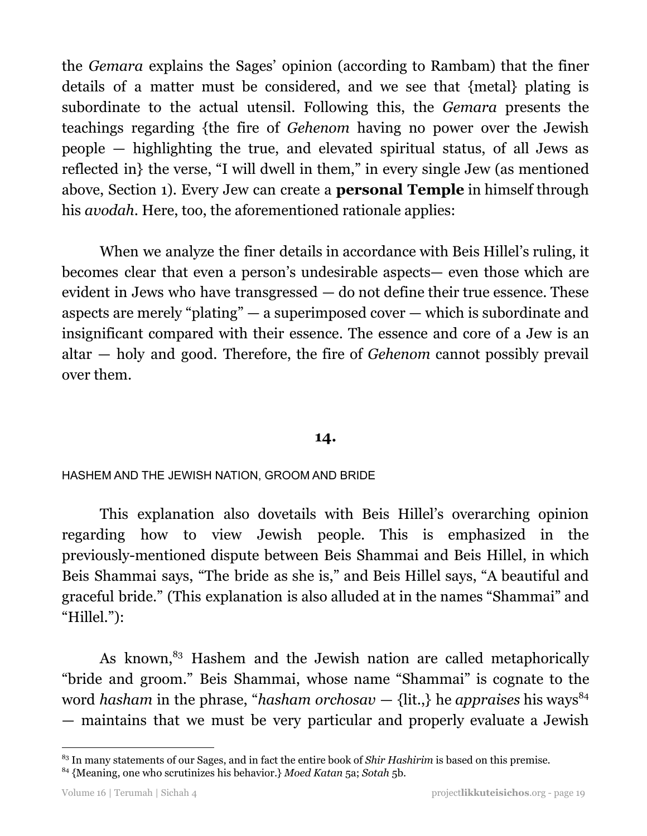the *Gemara* explains the Sages' opinion (according to Rambam) that the finer details of a matter must be considered, and we see that {metal} plating is subordinate to the actual utensil. Following this, the *Gemara* presents the teachings regarding {the fire of *Gehenom* having no power over the Jewish people — highlighting the true, and elevated spiritual status, of all Jews as reflected in} the verse, "I will dwell in them," in every single Jew (as mentioned above, Section 1). Every Jew can create a **personal Temple** in himself through his *avodah*. Here, too, the aforementioned rationale applies:

When we analyze the finer details in accordance with Beis Hillel's ruling, it becomes clear that even a person's undesirable aspects— even those which are evident in Jews who have transgressed — do not define their true essence. These aspects are merely "plating" — a superimposed cover — which is subordinate and insignificant compared with their essence. The essence and core of a Jew is an altar — holy and good. Therefore, the fire of *Gehenom* cannot possibly prevail over them.

#### **14.**

#### HASHEM AND THE JEWISH NATION, GROOM AND BRIDE

This explanation also dovetails with Beis Hillel's overarching opinion regarding how to view Jewish people. This is emphasized in the previously-mentioned dispute between Beis Shammai and Beis Hillel, in which Beis Shammai says, "The bride as she is," and Beis Hillel says, "A beautiful and graceful bride." (This explanation is also alluded at in the names "Shammai" and "Hillel."):

As known,<sup>83</sup> Hashem and the Jewish nation are called metaphorically "bride and groom." Beis Shammai, whose name "Shammai" is cognate to the word *hasham* in the phrase, "*hasham orchosav* — {lit.,} he *appraises* his ways 84 — maintains that we must be very particular and properly evaluate a Jewish

<sup>83</sup> In many statements of our Sages, and in fact the entire book of *Shir Hashirim* is based on this premise.

<sup>84</sup> {Meaning, one who scrutinizes his behavior.} *Moed Katan* 5a; *Sotah* 5b.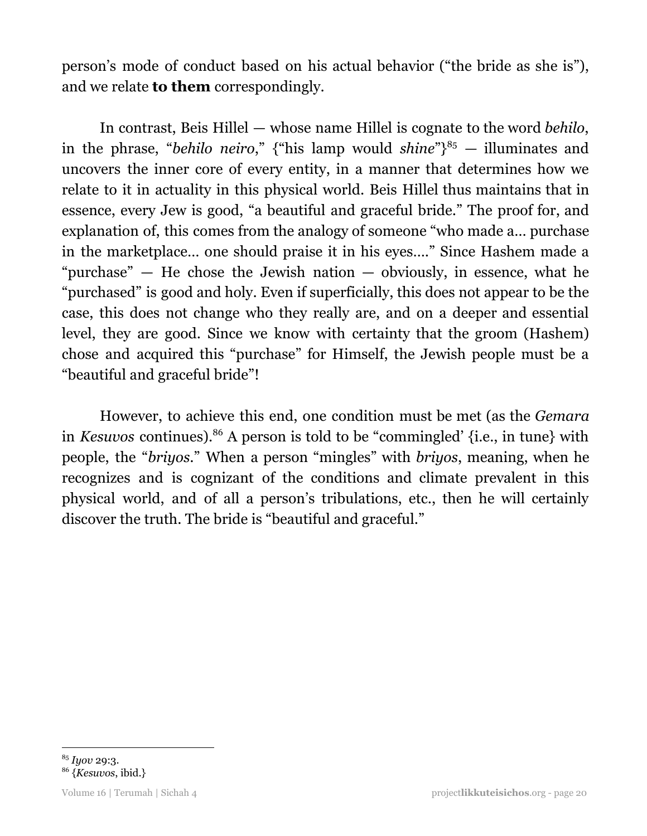person's mode of conduct based on his actual behavior ("the bride as she is"), and we relate **to them** correspondingly.

In contrast, Beis Hillel — whose name Hillel is cognate to the word *behilo*, in the phrase, "*behilo neiro*," {"his lamp would *shine*"}<sup>85</sup> – illuminates and uncovers the inner core of every entity, in a manner that determines how we relate to it in actuality in this physical world. Beis Hillel thus maintains that in essence, every Jew is good, "a beautiful and graceful bride." The proof for, and explanation of, this comes from the analogy of someone "who made a… purchase in the marketplace… one should praise it in his eyes…." Since Hashem made a "purchase" — He chose the Jewish nation — obviously, in essence, what he "purchased" is good and holy. Even if superficially, this does not appear to be the case, this does not change who they really are, and on a deeper and essential level, they are good. Since we know with certainty that the groom (Hashem) chose and acquired this "purchase" for Himself, the Jewish people must be a "beautiful and graceful bride"!

However, to achieve this end, one condition must be met (as the *Gemara* in *Kesuvos* continues).<sup>86</sup> A person is told to be "commingled' {i.e., in tune} with people, the "*briyos.*" When a person "mingles" with *briyos*, meaning, when he recognizes and is cognizant of the conditions and climate prevalent in this physical world, and of all a person's tribulations, etc., then he will certainly discover the truth. The bride is "beautiful and graceful."